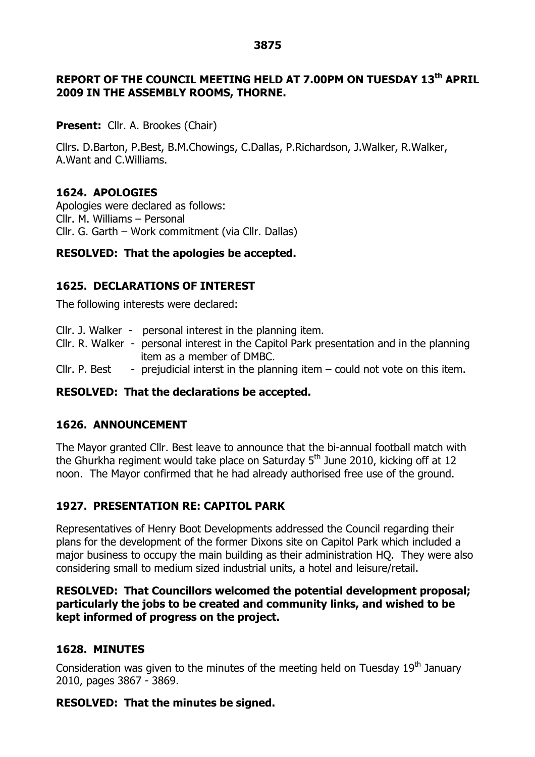#### **3875**

## **REPORT OF THE COUNCIL MEETING HELD AT 7.00PM ON TUESDAY 13 th APRIL 2009 IN THE ASSEMBLY ROOMS, THORNE.**

**Present:** Cllr. A. Brookes (Chair)

Cllrs. D.Barton, P.Best, B.M.Chowings, C.Dallas, P.Richardson, J.Walker, R.Walker, A.Want and C.Williams.

## **1624. APOLOGIES**

Apologies were declared as follows: Cllr. M. Williams – Personal Cllr. G. Garth –Work commitment (via Cllr. Dallas)

## **RESOLVED: That the apologies be accepted.**

## **1625. DECLARATIONS OF INTEREST**

The following interests were declared:

- Cllr. J. Walker personal interest in the planning item.
- Cllr. R. Walker personal interest in the Capitol Park presentation and in the planning item as a member of DMBC.
- Cllr. P. Best prejudicial interst in the planning item  $-$  could not vote on this item.

## **RESOLVED: That the declarations be accepted.**

## **1626. ANNOUNCEMENT**

The Mayor granted Cllr. Best leave to announce that the bi-annual football match with the Ghurkha regiment would take place on Saturday  $5<sup>th</sup>$  June 2010, kicking off at 12 noon. The Mayor confirmed that he had already authorised free use of the ground.

# **1927. PRESENTATION RE: CAPITOL PARK**

Representatives of Henry Boot Developments addressed the Council regarding their plans for the development of the former Dixons site on Capitol Park which included a major business to occupy the main building as their administration HQ. They were also considering small to medium sized industrial units, a hotel and leisure/retail.

## **RESOLVED: That Councillors welcomed the potential development proposal; particularly the jobs to be created and community links, and wished to be kept informed of progress on the project.**

## **1628. MINUTES**

Consideration was given to the minutes of the meeting held on Tuesday  $19<sup>th</sup>$  January 2010, pages 3867 - 3869.

## **RESOLVED: That the minutes be signed.**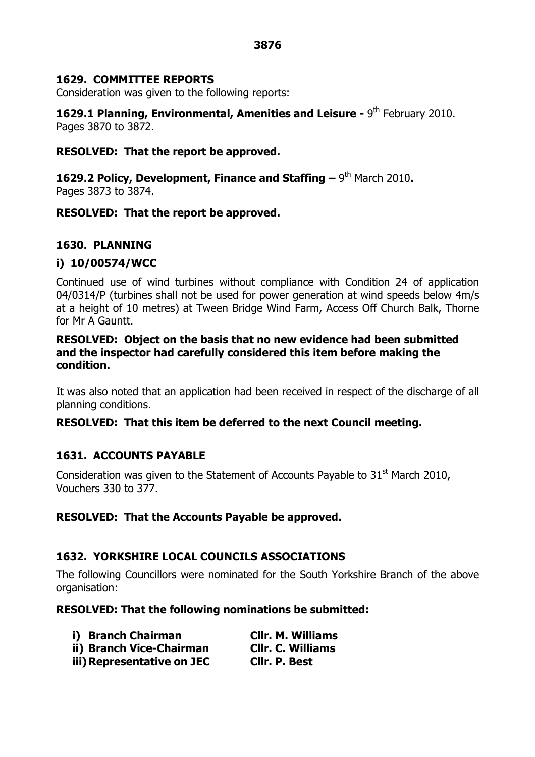### **1629. COMMITTEE REPORTS**

Consideration was given to the following reports:

**1629.1 Planning, Environmental, Amenities and Leisure - 9<sup>th</sup> February 2010.** Pages 3870 to 3872.

### **RESOLVED: That the report be approved.**

**1629.2 Policy, Development, Finance and Staffing –**9 th March 2010**.** Pages 3873 to 3874.

### **RESOLVED: That the report be approved.**

## **1630. PLANNING**

### **i) 10/00574/WCC**

Continued use of wind turbines without compliance with Condition 24 of application 04/0314/P (turbines shall not be used for power generation at wind speeds below 4m/s at a height of 10 metres) at Tween Bridge Wind Farm, Access Off Church Balk, Thorne for Mr A Gauntt.

## **RESOLVED: Object on the basis that no new evidence had been submitted and the inspector had carefully considered this item before making the condition.**

It was also noted that an application had been received in respect of the discharge of all planning conditions.

## **RESOLVED: That this item be deferred to the next Council meeting.**

## **1631. ACCOUNTS PAYABLE**

Consideration was given to the Statement of Accounts Payable to  $31<sup>st</sup>$  March 2010, Vouchers 330 to 377.

## **RESOLVED: That the Accounts Payable be approved.**

## **1632. YORKSHIRE LOCAL COUNCILS ASSOCIATIONS**

The following Councillors were nominated for the South Yorkshire Branch of the above organisation:

#### **RESOLVED: That the following nominations be submitted:**

| i) Branch Chairman         | <b>Cllr. M. Williams</b> |
|----------------------------|--------------------------|
| ii) Branch Vice-Chairman   | <b>Cllr. C. Williams</b> |
| iii) Representative on JEC | Cllr. P. Best            |